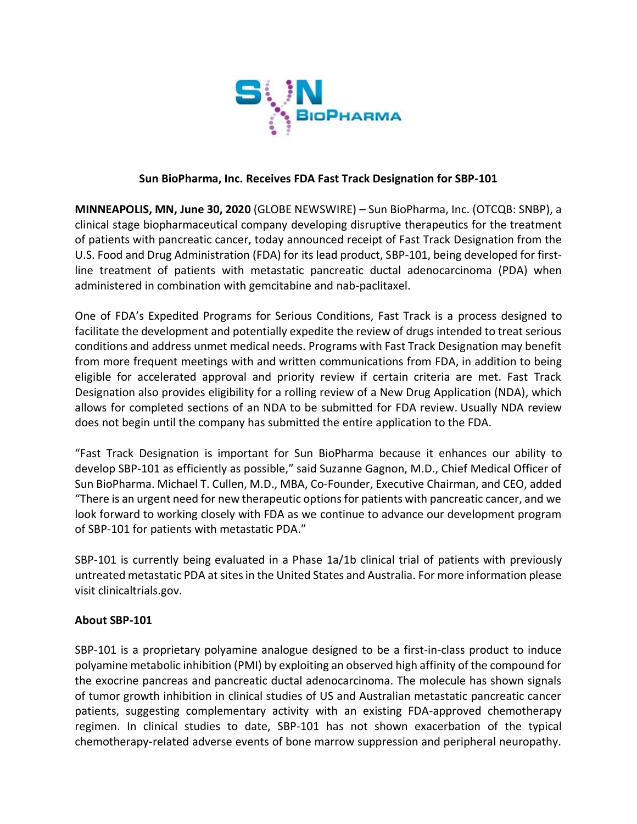

## **Sun BioPharma, Inc. Receives FDA Fast Track Designation for SBP-101**

**MINNEAPOLIS, MN, June 30, 2020** (GLOBE NEWSWIRE) – Sun BioPharma, Inc. (OTCQB: SNBP), a clinical stage biopharmaceutical company developing disruptive therapeutics for the treatment of patients with pancreatic cancer, today announced receipt of Fast Track Designation from the U.S. Food and Drug Administration (FDA) for its lead product, SBP-101, being developed for firstline treatment of patients with metastatic pancreatic ductal adenocarcinoma (PDA) when administered in combination with gemcitabine and nab-paclitaxel.

One of FDA's Expedited Programs for Serious Conditions, Fast Track is a process designed to facilitate the development and potentially expedite the review of drugs intended to treat serious conditions and address unmet medical needs. Programs with Fast Track Designation may benefit from more frequent meetings with and written communications from FDA, in addition to being eligible for accelerated approval and priority review if certain criteria are met. Fast Track Designation also provides eligibility for a rolling review of a New Drug Application (NDA), which allows for completed sections of an NDA to be submitted for FDA review. Usually NDA review does not begin until the company has submitted the entire application to the FDA.

"Fast Track Designation is important for Sun BioPharma because it enhances our ability to develop SBP-101 as efficiently as possible," said Suzanne Gagnon, M.D., Chief Medical Officer of Sun BioPharma. Michael T. Cullen, M.D., MBA, Co-Founder, Executive Chairman, and CEO, added "There is an urgent need for new therapeutic options for patients with pancreatic cancer, and we look forward to working closely with FDA as we continue to advance our development program of SBP-101 for patients with metastatic PDA."

SBP-101 is currently being evaluated in a Phase 1a/1b clinical trial of patients with previously untreated metastatic PDA at sites in the United States and Australia. For more information please visit clinicaltrials.gov.

## **About SBP-101**

SBP-101 is a proprietary polyamine analogue designed to be a first-in-class product to induce polyamine metabolic inhibition (PMI) by exploiting an observed high affinity of the compound for the exocrine pancreas and pancreatic ductal adenocarcinoma. The molecule has shown signals of tumor growth inhibition in clinical studies of US and Australian metastatic pancreatic cancer patients, suggesting complementary activity with an existing FDA-approved chemotherapy regimen. In clinical studies to date, SBP-101 has not shown exacerbation of the typical chemotherapy-related adverse events of bone marrow suppression and peripheral neuropathy.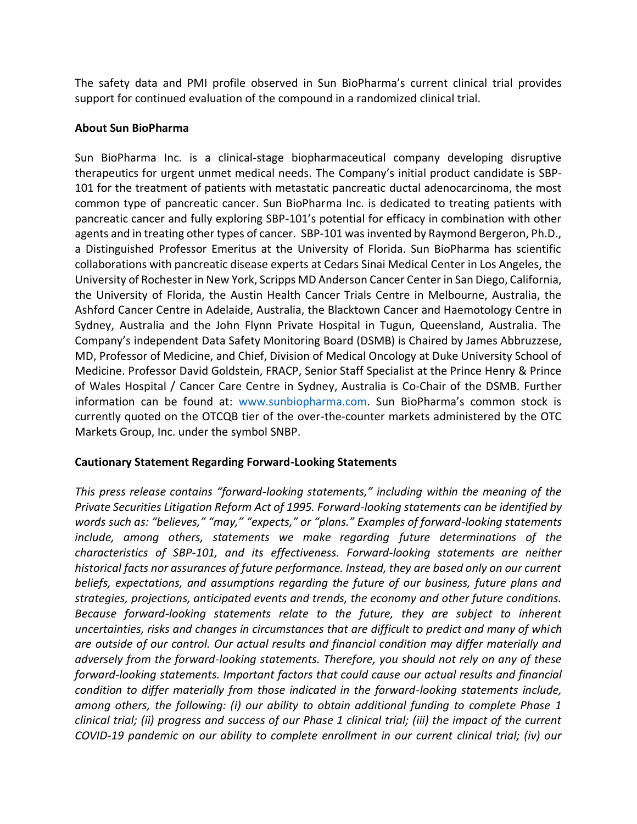The safety data and PMI profile observed in Sun BioPharma's current clinical trial provides support for continued evaluation of the compound in a randomized clinical trial.

## **About Sun BioPharma**

Sun BioPharma Inc. is a clinical-stage biopharmaceutical company developing disruptive therapeutics for urgent unmet medical needs. The Company's initial product candidate is SBP-101 for the treatment of patients with metastatic pancreatic ductal adenocarcinoma, the most common type of pancreatic cancer. Sun BioPharma Inc. is dedicated to treating patients with pancreatic cancer and fully exploring SBP-101's potential for efficacy in combination with other agents and in treating other types of cancer. SBP-101 was invented by Raymond Bergeron, Ph.D., a Distinguished Professor Emeritus at the University of Florida. Sun BioPharma has scientific collaborations with pancreatic disease experts at Cedars Sinai Medical Center in Los Angeles, the University of Rochester in New York, Scripps MD Anderson Cancer Center in San Diego, California, the University of Florida, the Austin Health Cancer Trials Centre in Melbourne, Australia, the Ashford Cancer Centre in Adelaide, Australia, the Blacktown Cancer and Haemotology Centre in Sydney, Australia and the John Flynn Private Hospital in Tugun, Queensland, Australia. The Company's independent Data Safety Monitoring Board (DSMB) is Chaired by James Abbruzzese, MD, Professor of Medicine, and Chief, Division of Medical Oncology at Duke University School of Medicine. Professor David Goldstein, FRACP, Senior Staff Specialist at the Prince Henry & Prince of Wales Hospital / Cancer Care Centre in Sydney, Australia is Co-Chair of the DSMB. Further information can be found at: www.sunbiopharma.com. Sun BioPharma's common stock is currently quoted on the OTCQB tier of the over-the-counter markets administered by the OTC Markets Group, Inc. under the symbol SNBP.

## **Cautionary Statement Regarding Forward-Looking Statements**

*This press release contains "forward-looking statements," including within the meaning of the Private Securities Litigation Reform Act of 1995. Forward-looking statements can be identified by words such as: "believes," "may," "expects," or "plans." Examples of forward-looking statements include, among others, statements we make regarding future determinations of the characteristics of SBP-101, and its effectiveness. Forward-looking statements are neither historical facts nor assurances of future performance. Instead, they are based only on our current beliefs, expectations, and assumptions regarding the future of our business, future plans and strategies, projections, anticipated events and trends, the economy and other future conditions. Because forward-looking statements relate to the future, they are subject to inherent uncertainties, risks and changes in circumstances that are difficult to predict and many of which are outside of our control. Our actual results and financial condition may differ materially and adversely from the forward-looking statements. Therefore, you should not rely on any of these forward-looking statements. Important factors that could cause our actual results and financial condition to differ materially from those indicated in the forward-looking statements include, among others, the following: (i) our ability to obtain additional funding to complete Phase 1 clinical trial; (ii) progress and success of our Phase 1 clinical trial; (iii) the impact of the current COVID-19 pandemic on our ability to complete enrollment in our current clinical trial; (iv) our*